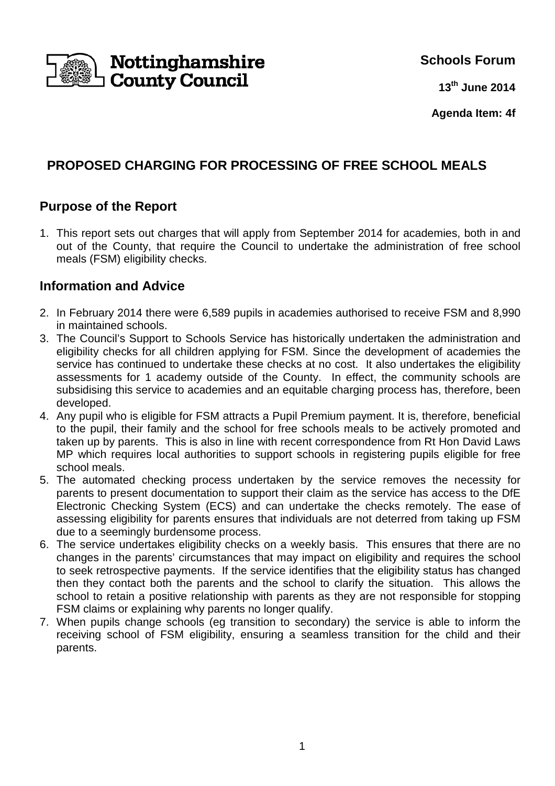

**Schools Forum**

**13th June 2014**

**Agenda Item: 4f**

# **PROPOSED CHARGING FOR PROCESSING OF FREE SCHOOL MEALS**

### **Purpose of the Report**

1. This report sets out charges that will apply from September 2014 for academies, both in and out of the County, that require the Council to undertake the administration of free school meals (FSM) eligibility checks.

### **Information and Advice**

- 2. In February 2014 there were 6,589 pupils in academies authorised to receive FSM and 8,990 in maintained schools.
- 3. The Council's Support to Schools Service has historically undertaken the administration and eligibility checks for all children applying for FSM. Since the development of academies the service has continued to undertake these checks at no cost. It also undertakes the eligibility assessments for 1 academy outside of the County. In effect, the community schools are subsidising this service to academies and an equitable charging process has, therefore, been developed.
- 4. Any pupil who is eligible for FSM attracts a Pupil Premium payment. It is, therefore, beneficial to the pupil, their family and the school for free schools meals to be actively promoted and taken up by parents. This is also in line with recent correspondence from Rt Hon David Laws MP which requires local authorities to support schools in registering pupils eligible for free school meals.
- 5. The automated checking process undertaken by the service removes the necessity for parents to present documentation to support their claim as the service has access to the DfE Electronic Checking System (ECS) and can undertake the checks remotely. The ease of assessing eligibility for parents ensures that individuals are not deterred from taking up FSM due to a seemingly burdensome process.
- 6. The service undertakes eligibility checks on a weekly basis. This ensures that there are no changes in the parents' circumstances that may impact on eligibility and requires the school to seek retrospective payments. If the service identifies that the eligibility status has changed then they contact both the parents and the school to clarify the situation. This allows the school to retain a positive relationship with parents as they are not responsible for stopping FSM claims or explaining why parents no longer qualify.
- 7. When pupils change schools (eg transition to secondary) the service is able to inform the receiving school of FSM eligibility, ensuring a seamless transition for the child and their parents.